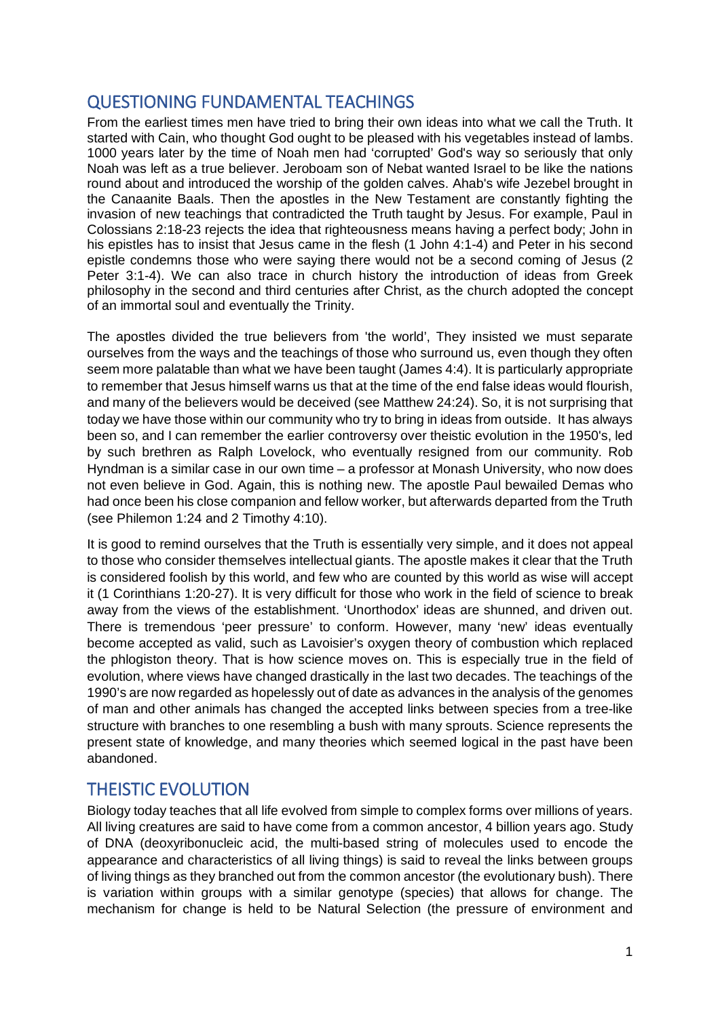## QUESTIONING FUNDAMENTAL TEACHINGS

From the earliest times men have tried to bring their own ideas into what we call the Truth. It started with Cain, who thought God ought to be pleased with his vegetables instead of lambs. 1000 years later by the time of Noah men had 'corrupted' God's way so seriously that only Noah was left as a true believer. Jeroboam son of Nebat wanted Israel to be like the nations round about and introduced the worship of the golden calves. Ahab's wife Jezebel brought in the Canaanite Baals. Then the apostles in the New Testament are constantly fighting the invasion of new teachings that contradicted the Truth taught by Jesus. For example, Paul in Colossians 2:18-23 rejects the idea that righteousness means having a perfect body; John in his epistles has to insist that Jesus came in the flesh (1 John 4:1-4) and Peter in his second epistle condemns those who were saying there would not be a second coming of Jesus (2 Peter 3:1-4). We can also trace in church history the introduction of ideas from Greek philosophy in the second and third centuries after Christ, as the church adopted the concept of an immortal soul and eventually the Trinity.

The apostles divided the true believers from 'the world', They insisted we must separate ourselves from the ways and the teachings of those who surround us, even though they often seem more palatable than what we have been taught (James 4:4). It is particularly appropriate to remember that Jesus himself warns us that at the time of the end false ideas would flourish, and many of the believers would be deceived (see Matthew 24:24). So, it is not surprising that today we have those within our community who try to bring in ideas from outside. It has always been so, and I can remember the earlier controversy over theistic evolution in the 1950's, led by such brethren as Ralph Lovelock, who eventually resigned from our community. Rob Hyndman is a similar case in our own time – a professor at Monash University, who now does not even believe in God. Again, this is nothing new. The apostle Paul bewailed Demas who had once been his close companion and fellow worker, but afterwards departed from the Truth (see Philemon 1:24 and 2 Timothy 4:10).

It is good to remind ourselves that the Truth is essentially very simple, and it does not appeal to those who consider themselves intellectual giants. The apostle makes it clear that the Truth is considered foolish by this world, and few who are counted by this world as wise will accept it (1 Corinthians 1:20-27). It is very difficult for those who work in the field of science to break away from the views of the establishment. 'Unorthodox' ideas are shunned, and driven out. There is tremendous 'peer pressure' to conform. However, many 'new' ideas eventually become accepted as valid, such as Lavoisier's oxygen theory of combustion which replaced the phlogiston theory. That is how science moves on. This is especially true in the field of evolution, where views have changed drastically in the last two decades. The teachings of the 1990's are now regarded as hopelessly out of date as advances in the analysis of the genomes of man and other animals has changed the accepted links between species from a tree-like structure with branches to one resembling a bush with many sprouts. Science represents the present state of knowledge, and many theories which seemed logical in the past have been abandoned.

# THEISTIC EVOLUTION

Biology today teaches that all life evolved from simple to complex forms over millions of years. All living creatures are said to have come from a common ancestor, 4 billion years ago. Study of DNA (deoxyribonucleic acid, the multi-based string of molecules used to encode the appearance and characteristics of all living things) is said to reveal the links between groups of living things as they branched out from the common ancestor (the evolutionary bush). There is variation within groups with a similar genotype (species) that allows for change. The mechanism for change is held to be Natural Selection (the pressure of environment and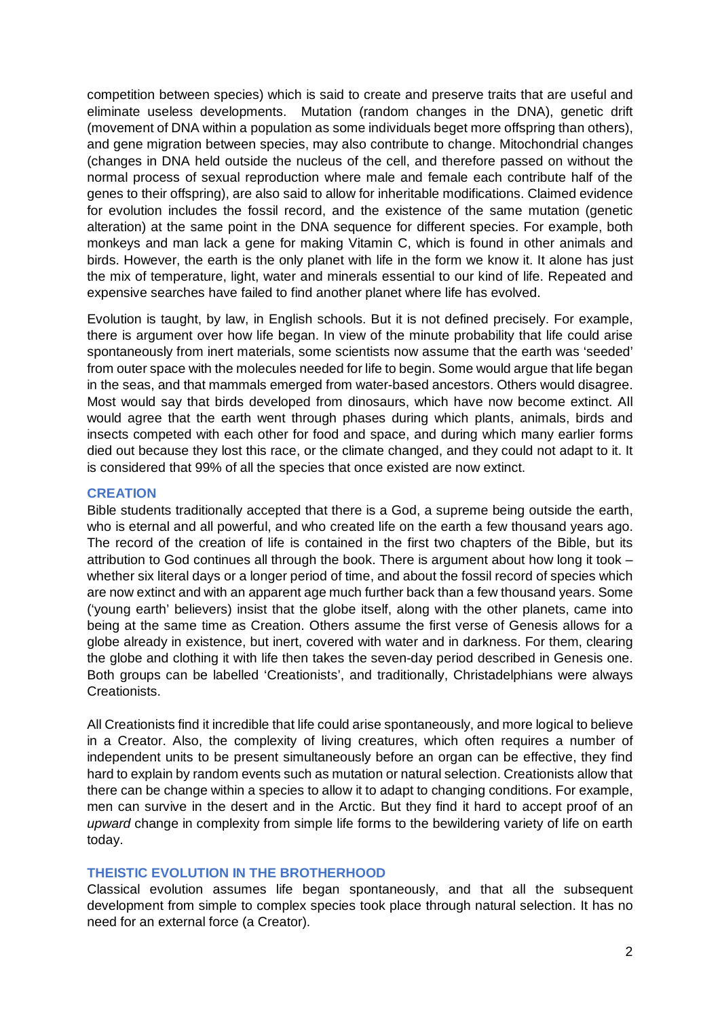competition between species) which is said to create and preserve traits that are useful and eliminate useless developments. Mutation (random changes in the DNA), genetic drift (movement of DNA within a population as some individuals beget more offspring than others), and gene migration between species, may also contribute to change. Mitochondrial changes (changes in DNA held outside the nucleus of the cell, and therefore passed on without the normal process of sexual reproduction where male and female each contribute half of the genes to their offspring), are also said to allow for inheritable modifications. Claimed evidence for evolution includes the fossil record, and the existence of the same mutation (genetic alteration) at the same point in the DNA sequence for different species. For example, both monkeys and man lack a gene for making Vitamin C, which is found in other animals and birds. However, the earth is the only planet with life in the form we know it. It alone has just the mix of temperature, light, water and minerals essential to our kind of life. Repeated and expensive searches have failed to find another planet where life has evolved.

Evolution is taught, by law, in English schools. But it is not defined precisely. For example, there is argument over how life began. In view of the minute probability that life could arise spontaneously from inert materials, some scientists now assume that the earth was 'seeded' from outer space with the molecules needed for life to begin. Some would argue that life began in the seas, and that mammals emerged from water-based ancestors. Others would disagree. Most would say that birds developed from dinosaurs, which have now become extinct. All would agree that the earth went through phases during which plants, animals, birds and insects competed with each other for food and space, and during which many earlier forms died out because they lost this race, or the climate changed, and they could not adapt to it. It is considered that 99% of all the species that once existed are now extinct.

#### **CREATION**

Bible students traditionally accepted that there is a God, a supreme being outside the earth, who is eternal and all powerful, and who created life on the earth a few thousand years ago. The record of the creation of life is contained in the first two chapters of the Bible, but its attribution to God continues all through the book. There is argument about how long it took – whether six literal days or a longer period of time, and about the fossil record of species which are now extinct and with an apparent age much further back than a few thousand years. Some ('young earth' believers) insist that the globe itself, along with the other planets, came into being at the same time as Creation. Others assume the first verse of Genesis allows for a globe already in existence, but inert, covered with water and in darkness. For them, clearing the globe and clothing it with life then takes the seven-day period described in Genesis one. Both groups can be labelled 'Creationists', and traditionally, Christadelphians were always Creationists.

All Creationists find it incredible that life could arise spontaneously, and more logical to believe in a Creator. Also, the complexity of living creatures, which often requires a number of independent units to be present simultaneously before an organ can be effective, they find hard to explain by random events such as mutation or natural selection. Creationists allow that there can be change within a species to allow it to adapt to changing conditions. For example, men can survive in the desert and in the Arctic. But they find it hard to accept proof of an *upward* change in complexity from simple life forms to the bewildering variety of life on earth today.

### **THEISTIC EVOLUTION IN THE BROTHERHOOD**

Classical evolution assumes life began spontaneously, and that all the subsequent development from simple to complex species took place through natural selection. It has no need for an external force (a Creator).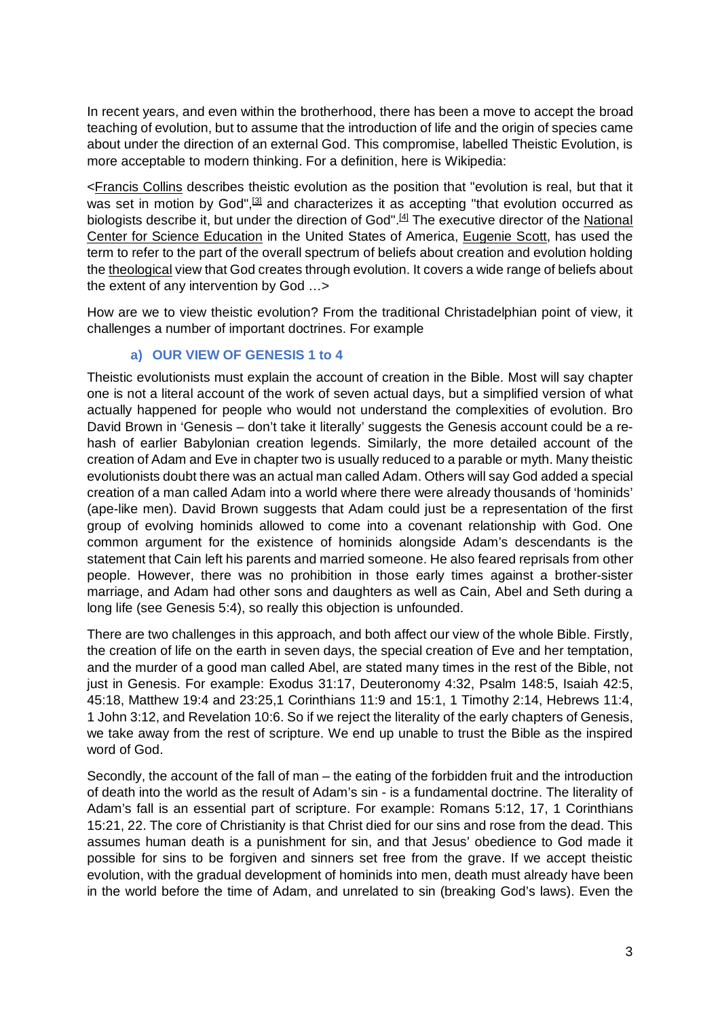In recent years, and even within the brotherhood, there has been a move to accept the broad teaching of evolution, but to assume that the introduction of life and the origin of species came about under the direction of an external God. This compromise, labelled Theistic Evolution, is more acceptable to modern thinking. For a definition, here is Wikipedia:

[<Francis Collins](https://en.wikipedia.org/wiki/Francis_Collins) describes theistic evolution as the position that "evolution is real, but that it was set in motion by God",<sup>[3]</sup> and characterizes it as accepting "that evolution occurred as biologists describe it, but under the direction of God".<sup>[4]</sup> The executive director of the National Center [for Science Education](https://en.wikipedia.org/wiki/National_Center_for_Science_Education) in the United States of America, [Eugenie Scott,](https://en.wikipedia.org/wiki/Eugenie_Scott) has used the term to refer to the part of the overall spectrum of beliefs about creation and evolution holding the [theological](https://en.wikipedia.org/wiki/Theology) view that God creates through evolution. It covers a wide range of beliefs about the extent of any intervention by God …>

How are we to view theistic evolution? From the traditional Christadelphian point of view, it challenges a number of important doctrines. For example

#### **a) OUR VIEW OF GENESIS 1 to 4**

Theistic evolutionists must explain the account of creation in the Bible. Most will say chapter one is not a literal account of the work of seven actual days, but a simplified version of what actually happened for people who would not understand the complexities of evolution. Bro David Brown in 'Genesis – don't take it literally' suggests the Genesis account could be a rehash of earlier Babylonian creation legends. Similarly, the more detailed account of the creation of Adam and Eve in chapter two is usually reduced to a parable or myth. Many theistic evolutionists doubt there was an actual man called Adam. Others will say God added a special creation of a man called Adam into a world where there were already thousands of 'hominids' (ape-like men). David Brown suggests that Adam could just be a representation of the first group of evolving hominids allowed to come into a covenant relationship with God. One common argument for the existence of hominids alongside Adam's descendants is the statement that Cain left his parents and married someone. He also feared reprisals from other people. However, there was no prohibition in those early times against a brother-sister marriage, and Adam had other sons and daughters as well as Cain, Abel and Seth during a long life (see Genesis 5:4), so really this objection is unfounded.

There are two challenges in this approach, and both affect our view of the whole Bible. Firstly, the creation of life on the earth in seven days, the special creation of Eve and her temptation, and the murder of a good man called Abel, are stated many times in the rest of the Bible, not just in Genesis. For example: Exodus 31:17, Deuteronomy 4:32, Psalm 148:5, Isaiah 42:5, 45:18, Matthew 19:4 and 23:25,1 Corinthians 11:9 and 15:1, 1 Timothy 2:14, Hebrews 11:4, 1 John 3:12, and Revelation 10:6. So if we reject the literality of the early chapters of Genesis, we take away from the rest of scripture. We end up unable to trust the Bible as the inspired word of God.

Secondly, the account of the fall of man – the eating of the forbidden fruit and the introduction of death into the world as the result of Adam's sin - is a fundamental doctrine. The literality of Adam's fall is an essential part of scripture. For example: Romans 5:12, 17, 1 Corinthians 15:21, 22. The core of Christianity is that Christ died for our sins and rose from the dead. This assumes human death is a punishment for sin, and that Jesus' obedience to God made it possible for sins to be forgiven and sinners set free from the grave. If we accept theistic evolution, with the gradual development of hominids into men, death must already have been in the world before the time of Adam, and unrelated to sin (breaking God's laws). Even the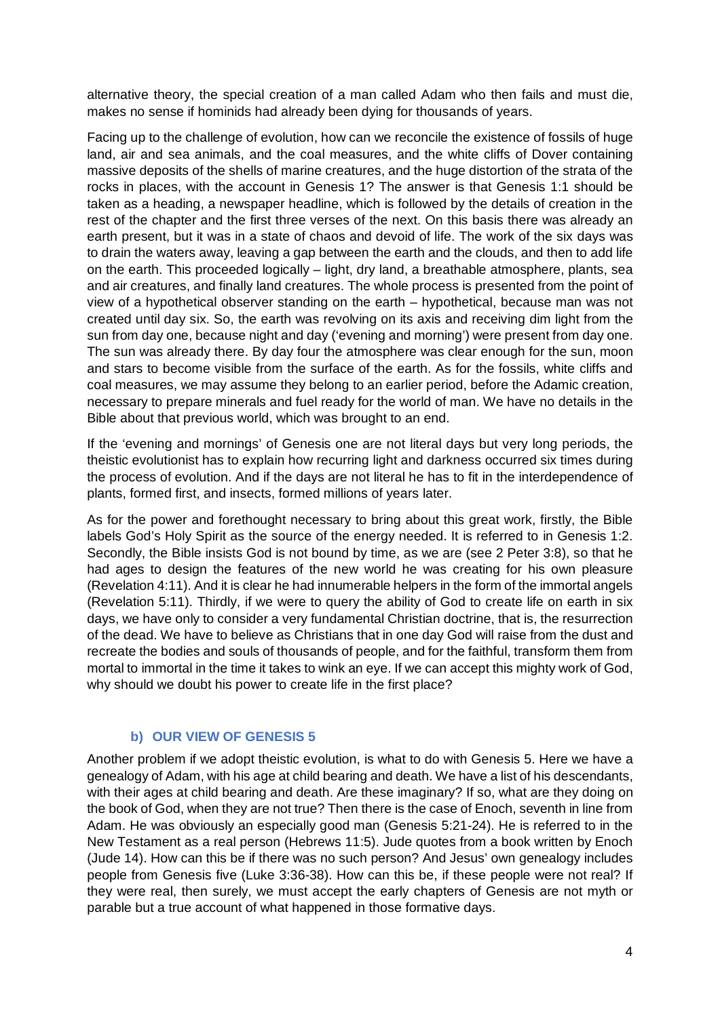alternative theory, the special creation of a man called Adam who then fails and must die, makes no sense if hominids had already been dying for thousands of years.

Facing up to the challenge of evolution, how can we reconcile the existence of fossils of huge land, air and sea animals, and the coal measures, and the white cliffs of Dover containing massive deposits of the shells of marine creatures, and the huge distortion of the strata of the rocks in places, with the account in Genesis 1? The answer is that Genesis 1:1 should be taken as a heading, a newspaper headline, which is followed by the details of creation in the rest of the chapter and the first three verses of the next. On this basis there was already an earth present, but it was in a state of chaos and devoid of life. The work of the six days was to drain the waters away, leaving a gap between the earth and the clouds, and then to add life on the earth. This proceeded logically – light, dry land, a breathable atmosphere, plants, sea and air creatures, and finally land creatures. The whole process is presented from the point of view of a hypothetical observer standing on the earth – hypothetical, because man was not created until day six. So, the earth was revolving on its axis and receiving dim light from the sun from day one, because night and day ('evening and morning') were present from day one. The sun was already there. By day four the atmosphere was clear enough for the sun, moon and stars to become visible from the surface of the earth. As for the fossils, white cliffs and coal measures, we may assume they belong to an earlier period, before the Adamic creation, necessary to prepare minerals and fuel ready for the world of man. We have no details in the Bible about that previous world, which was brought to an end.

If the 'evening and mornings' of Genesis one are not literal days but very long periods, the theistic evolutionist has to explain how recurring light and darkness occurred six times during the process of evolution. And if the days are not literal he has to fit in the interdependence of plants, formed first, and insects, formed millions of years later.

As for the power and forethought necessary to bring about this great work, firstly, the Bible labels God's Holy Spirit as the source of the energy needed. It is referred to in Genesis 1:2. Secondly, the Bible insists God is not bound by time, as we are (see 2 Peter 3:8), so that he had ages to design the features of the new world he was creating for his own pleasure (Revelation 4:11). And it is clear he had innumerable helpers in the form of the immortal angels (Revelation 5:11). Thirdly, if we were to query the ability of God to create life on earth in six days, we have only to consider a very fundamental Christian doctrine, that is, the resurrection of the dead. We have to believe as Christians that in one day God will raise from the dust and recreate the bodies and souls of thousands of people, and for the faithful, transform them from mortal to immortal in the time it takes to wink an eye. If we can accept this mighty work of God, why should we doubt his power to create life in the first place?

### **b) OUR VIEW OF GENESIS 5**

Another problem if we adopt theistic evolution, is what to do with Genesis 5. Here we have a genealogy of Adam, with his age at child bearing and death. We have a list of his descendants, with their ages at child bearing and death. Are these imaginary? If so, what are they doing on the book of God, when they are not true? Then there is the case of Enoch, seventh in line from Adam. He was obviously an especially good man (Genesis 5:21-24). He is referred to in the New Testament as a real person (Hebrews 11:5). Jude quotes from a book written by Enoch (Jude 14). How can this be if there was no such person? And Jesus' own genealogy includes people from Genesis five (Luke 3:36-38). How can this be, if these people were not real? If they were real, then surely, we must accept the early chapters of Genesis are not myth or parable but a true account of what happened in those formative days.